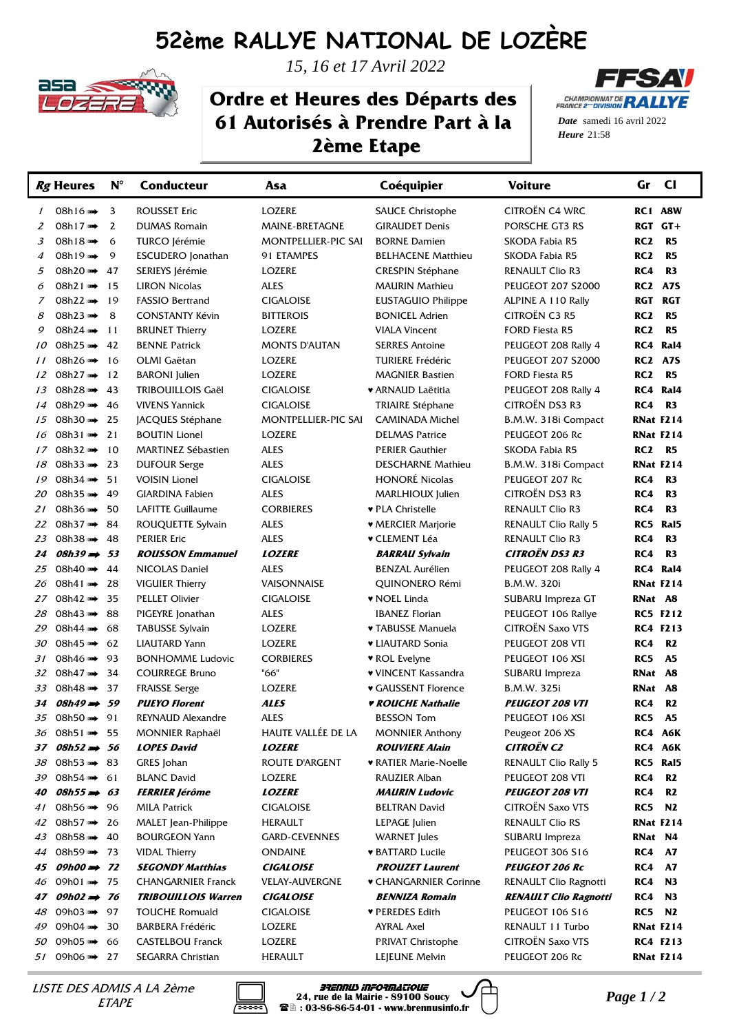## **52ème RALLYE NATIONAL DE LOZÈRE**



*15, 16 et 17 Avril 2022*

## **Ordre et Heures des Départs des 61 Autorisés à Prendre Part à la 2ème Etape**



21:58 *Heure Date* samedi 16 avril 2022

|                | Rg Heures              | $N^{\circ}$ | <b>Conducteur</b>          | Asa                   | Coéquipier                      | <b>Voiture</b>               | $CI$<br>Gr                        |
|----------------|------------------------|-------------|----------------------------|-----------------------|---------------------------------|------------------------------|-----------------------------------|
| $\mathcal{I}$  | 08h16 >>→              | 3           | <b>ROUSSET Eric</b>        | <b>LOZERE</b>         | <b>SAUCE Christophe</b>         | CITROËN C4 WRC               | RC1 A8W                           |
| 2              | 08h17 >>>>>>>          | 2           | <b>DUMAS Romain</b>        | MAINE-BRETAGNE        | <b>GIRAUDET Denis</b>           | PORSCHE GT3 RS               | RGT GT+                           |
| 3              | 08h18 >>>>>            | 6           | TURCO Jérémie              | MONTPELLIER-PIC SAI   | <b>BORNE Damien</b>             | SKODA Fabia R5               | RC <sub>2</sub><br>R5             |
| $\overline{4}$ | 08h19 >>>>>>>>         | 9           | <b>ESCUDERO</b> Jonathan   | 91 ETAMPES            | <b>BELHACENE Matthieu</b>       | SKODA Fabia R5               | RC <sub>2</sub><br>R <sub>5</sub> |
| 5              | 08h20 >>>>>>>>         | 47          | SERIEYS Jérémie            | <b>LOZERE</b>         | <b>CRESPIN Stéphane</b>         | RENAULT Clio R3              | RC4<br>R <sub>3</sub>             |
| 6              | 08h21 >>>>>            | 15          | <b>LIRON Nicolas</b>       | <b>ALES</b>           | <b>MAURIN Mathieu</b>           | <b>PEUGEOT 207 S2000</b>     | <b>RC2 A7S</b>                    |
| $\overline{z}$ | 08h22 >>>>>>           | 19          | <b>FASSIO Bertrand</b>     | <b>CIGALOISE</b>      | <b>EUSTAGUIO Philippe</b>       | ALPINE A 110 Rally           | <b>RGT</b><br>RGT                 |
| 8              | 08h23 >>→              | 8           | <b>CONSTANTY Kévin</b>     | <b>BITTEROIS</b>      | <b>BONICEL Adrien</b>           | CITROËN C3 R5                | RC <sub>2</sub><br>R <sub>5</sub> |
| 9              | 08h24 >>>>             | 11          | <b>BRUNET Thierry</b>      | <b>LOZERE</b>         | <b>VIALA Vincent</b>            | <b>FORD Fiesta R5</b>        | RC <sub>2</sub><br>R <sub>5</sub> |
| 10             | 08h25 >>>>>            | 42          | <b>BENNE Patrick</b>       | <b>MONTS D'AUTAN</b>  | <b>SERRES Antoine</b>           | PEUGEOT 208 Rally 4          | RC4 Ral4                          |
| 11             | 08h26 >>>>>            | 16          | OLMI Gaëtan                | LOZERE                | <b>TURIERE Frédéric</b>         | <b>PEUGEOT 207 S2000</b>     | <b>RC2 A7S</b>                    |
| 12             | 08h27 >>>>>            | 12          | <b>BARONI</b> Julien       | LOZERE                | <b>MAGNIER Bastien</b>          | <b>FORD Fiesta R5</b>        | RC <sub>2</sub><br><b>R5</b>      |
| 13             | 08h28 >>>>>            | 43          | <b>TRIBOUILLOIS Gaël</b>   | <b>CIGALOISE</b>      | ♥ ARNAUD Laëtitia               | PEUGEOT 208 Rally 4          | RC4 Ral4                          |
| 14             | 08h29 >>>>>            | 46          | <b>VIVENS Yannick</b>      | <b>CIGALOISE</b>      | <b>TRIAIRE Stéphane</b>         | <b>CITROËN DS3 R3</b>        | R <sub>3</sub><br>RC4             |
| 15             | 08h30 $\rightarrow$    | 25          | JACQUES Stéphane           | MONTPELLIER-PIC SAI   | <b>CAMINADA Michel</b>          | B.M.W. 318i Compact          | <b>RNat F214</b>                  |
| 16             | 08h31 $\rightarrow$    | 21          | <b>BOUTIN Lionel</b>       | LOZERE                | <b>DELMAS Patrice</b>           | PEUGEOT 206 Rc               | <b>RNat F214</b>                  |
| 17             | 08h32 $\rightarrow$    | 10          | <b>MARTINEZ Sébastien</b>  | <b>ALES</b>           | <b>PERIER Gauthier</b>          | SKODA Fabia R5               | RC <sub>2</sub><br>R5             |
| 18             | 08h33 $\rightarrow$    | 23          | <b>DUFOUR Serge</b>        | <b>ALES</b>           | <b>DESCHARNE Mathieu</b>        | B.M.W. 318i Compact          | RNat F214                         |
| 19             | 08h34                  | 51          | <b>VOISIN Lionel</b>       | <b>CIGALOISE</b>      | <b>HONORÉ Nicolas</b>           | PEUGEOT 207 Rc               | RC4<br>R <sub>3</sub>             |
| 20             | 08h35                  | 49          | <b>GIARDINA Fabien</b>     | <b>ALES</b>           | MARLHIOUX Julien                | <b>CITROËN DS3 R3</b>        | RC4<br>R <sub>3</sub>             |
| 21             | 08h36 $\rightarrow$    | 50          | <b>LAFITTE Guillaume</b>   | <b>CORBIERES</b>      | ♥ PLA Christelle                | <b>RENAULT Clio R3</b>       | RC4<br>R <sub>3</sub>             |
| 22             | 08h37 $\rightarrow$    | 84          | ROUQUETTE Sylvain          | <b>ALES</b>           | ♥ MERCIER Marjorie              | <b>RENAULT Clio Rally 5</b>  | RC5 Ral5                          |
| 23             | 08h38 >>→              | 48          | <b>PERIER Eric</b>         | <b>ALES</b>           | ▼ CLEMENT Léa                   | <b>RENAULT Clio R3</b>       | RC4<br>R <sub>3</sub>             |
| 24             | $08h39 \implies$       | 53          | <b>ROUSSON Emmanuel</b>    | <b>LOZERE</b>         | <i><b>BARRAU Sylvain</b></i>    | <b>CITROËN DS3 R3</b>        | RC4<br>R3                         |
| 25             | 08h40 >>>>>>           | 44          | NICOLAS Daniel             | <b>ALES</b>           | <b>BENZAL Aurélien</b>          | PEUGEOT 208 Rally 4          | RC4 Ral4                          |
| 26             | 08h41                  | 28          | <b>VIGUIER Thierry</b>     | VAISONNAISE           | QUINONERO Rémi                  | B.M.W. 320i                  | <b>RNat F214</b>                  |
| 27             | 08h42 >>>>>            | 35          | <b>PELLET Olivier</b>      | <b>CIGALOISE</b>      | ♥ NOEL Linda                    | SUBARU Impreza GT            | RNat A8                           |
| 28             | 08h43                  | 88          | PIGEYRE Jonathan           | <b>ALES</b>           | <b>IBANEZ Florian</b>           | PEUGEOT 106 Rallye           | <b>RC5 F212</b>                   |
| 29             | 08h44                  | 68          | <b>TABUSSE Sylvain</b>     | LOZERE                | ♥ TABUSSE Manuela               | <b>CITROËN Saxo VTS</b>      | <b>RC4 F213</b>                   |
| 30             | 08h45 >>→              | 62          | <b>LIAUTARD Yann</b>       | LOZERE                | <b>* LIAUTARD Sonia</b>         | PEUGEOT 208 VTI              | RC4<br><b>R2</b>                  |
| 31             | 08h46 >>>>             | 93          | <b>BONHOMME Ludovic</b>    | <b>CORBIERES</b>      | ♥ ROL Evelyne                   | PEUGEOT 106 XSI              | RC5<br><b>A5</b>                  |
| 32             | 08h47 >>>>>            | 34          | <b>COURREGE Bruno</b>      | "66"                  | ♥ VINCENT Kassandra             | SUBARU Impreza               | RNat A8                           |
| 33             | 08h48 >>>>>            | 37          | <b>FRAISSE Serge</b>       | <b>LOZERE</b>         | ♥ GAUSSENT Florence             | B.M.W. 325i                  | RNat A8                           |
| 34             | $\theta$ 8h49          | 59          | <b>PUEYO Florent</b>       | <b>ALES</b>           | <i><b>v ROUCHE Nathalie</b></i> | <b>PEUGEOT 208 VTI</b>       | RC4<br>R2                         |
|                | 35 08h50 m→ 91         |             | REYNAUD Alexandre          | <b>ALES</b>           | <b>BESSON Tom</b>               | PEUGEOT 106 XSI              | RC5<br><b>A5</b>                  |
| 36             | 08h51 m→ 55            |             | <b>MONNIER Raphaël</b>     | HAUTE VALLÉE DE LA    | <b>MONNIER Anthony</b>          | Peugeot 206 XS               | RC4 A6K                           |
| 37             | $08h52 \rightarrow 56$ |             | <b>LOPES David</b>         | <b>LOZERE</b>         | <b>ROUVIERE Alain</b>           | <b>CITROËN C2</b>            | RC4 A6K                           |
| 38             | 08h53 m 83             |             | GRES Johan                 | ROUTE D'ARGENT        | <b>* RATIER Marie-Noelle</b>    | <b>RENAULT Clio Rally 5</b>  | RC5 Ral5                          |
| 39             | 08h54 m→ 61            |             | <b>BLANC David</b>         | LOZERE                | RAUZIER Alban                   | PEUGEOT 208 VTI              | R <sub>2</sub><br>RC4             |
| 40             | $08h55 \implies 63$    |             | <b>FERRIER Jérôme</b>      | <b>LOZERE</b>         | <b>MAURIN Ludovic</b>           | <b>PEUGEOT 208 VTI</b>       | RC4<br>R2                         |
| 41             | 08h56 m→ 96            |             | <b>MILA Patrick</b>        | <b>CIGALOISE</b>      | <b>BELTRAN David</b>            | CITROËN Saxo VTS             | <b>RC5 N2</b>                     |
| 42             | 08h57 m 26             |             | <b>MALET</b> Jean-Philippe | <b>HERAULT</b>        | LEPAGE Julien                   | RENAULT Clio RS              | <b>RNat F214</b>                  |
| 43             | 08h58 >>>>             | 40          | <b>BOURGEON Yann</b>       | GARD-CEVENNES         | <b>WARNET</b> Jules             | SUBARU Impreza               | RNat N4                           |
| 44             | 08h59 m→ 73            |             | <b>VIDAL Thierry</b>       | <b>ONDAINE</b>        | <b>* BATTARD Lucile</b>         | PEUGEOT 306 S16              | <b>RC4 A7</b>                     |
| 45             | $09h00 \Rightarrow 72$ |             | <b>SEGONDY Matthias</b>    | <b>CIGALOISE</b>      | <b>PROUZET Laurent</b>          | <b>PEUGEOT 206 Rc</b>        | <b>A7</b><br>RC4                  |
| 46             | 09h01 m→ 75            |             | <b>CHANGARNIER Franck</b>  | <b>VELAY-AUVERGNE</b> | ♥ CHANGARNIER Corinne           | RENAULT Clio Ragnotti        | N3<br>RC4                         |
| 47             | $09h02 \rightarrow 76$ |             | <b>TRIBOUILLOIS Warren</b> | <b>CIGALOISE</b>      | <b>BENNIZA Romain</b>           | <b>RENAULT Clio Ragnotti</b> | N3<br>RC4                         |
| 48             | 09h03 m→ 97            |             | <b>TOUCHE Romuald</b>      | <b>CIGALOISE</b>      | ♥ PEREDES Edith                 | PEUGEOT 106 S16              | N2<br>RC5                         |
| 49             | 09h04 >>>>             | 30          | <b>BARBERA Frédéric</b>    | LOZERE                | AYRAL Axel                      | RENAULT 11 Turbo             | <b>RNat F214</b>                  |
| 50             | 09h05 >>>>>            | 66          | <b>CASTELBOU Franck</b>    | LOZERE                | <b>PRIVAT Christophe</b>        | CITROËN Saxo VTS             | <b>RC4 F213</b>                   |
| 51             | 09h06 m→ 27            |             | SEGARRA Christian          | HERAULT               | LEJEUNE Melvin                  | PEUGEOT 206 Rc               | <b>RNat F214</b>                  |

*PARTRISTE DES ADMIS A LA 2ème* **Informatique**<br>*ETAPE Page 1 / 2*<br>*Page 1 / 2* **Page 1 / 2** al., rue de la Mairie - 89100 Soucy *Page 1 / 2* **ETAPE**